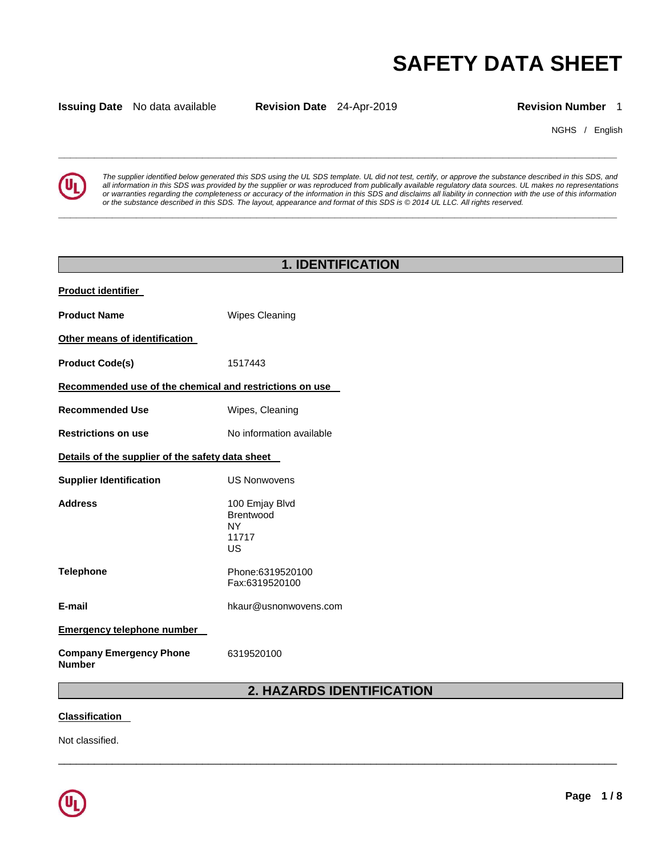# **SAFETY DATA SHEET**

**Issuing Date** No data available **Revision Date** 24-Apr-2019 **Revision Number** 1

**\_\_\_\_\_\_\_\_\_\_\_\_\_\_\_\_\_\_\_\_\_\_\_\_\_\_\_\_\_\_\_\_\_\_\_\_\_\_\_\_\_\_\_\_\_\_\_\_\_\_\_\_\_\_\_\_\_\_\_\_\_\_\_\_\_\_\_\_\_\_\_\_\_\_\_\_\_\_\_\_\_\_\_\_\_\_\_\_\_\_\_\_\_** 

**\_\_\_\_\_\_\_\_\_\_\_\_\_\_\_\_\_\_\_\_\_\_\_\_\_\_\_\_\_\_\_\_\_\_\_\_\_\_\_\_\_\_\_\_\_\_\_\_\_\_\_\_\_\_\_\_\_\_\_\_\_\_\_\_\_\_\_\_\_\_\_\_\_\_\_\_\_\_\_\_\_\_\_\_\_\_\_\_\_\_\_\_\_** 

NGHS / English



*The supplier identified below generated this SDS using the UL SDS template. UL did not test, certify, or approve the substance described in this SDS, and all information in this SDS was provided by the supplier or was reproduced from publically available regulatory data sources. UL makes no representations or warranties regarding the completeness or accuracy of the information in this SDS and disclaims all liability in connection with the use of this information or the substance described in this SDS. The layout, appearance and format of this SDS is © 2014 UL LLC. All rights reserved.* 

# **1. IDENTIFICATION Product identifier Product Name Wipes Cleaning Other means of identification Product Code(s)** 1517443 **Recommended use of the chemical and restrictions on use Recommended Use Million Commended Use Recommended Use Recommended Use Recommended Use Recommended Commended US Restrictions on use 1998 CONTERNATION IN A VALUATE RESTRICTED RESTRICTED IN A VALUE OF A VALUE OF A VALUE OF A VALUE OF A VALUE OF A VALUE OF A VALUE OF A VALUE OF A VALUE OF A VALUE OF A VALUE OF A VALUE OF A VALUE OF A Details of the supplier of the safety data sheet Supplier Identification** US Nonwovens **Address** 100 Emjay Blvd Brentwood NY 11717 US **Telephone Phone:6319520100** Fax:6319520100 **E-mail** hkaur@usnonwovens.com **Emergency telephone number Company Emergency Phone Number**  6319520100 **2. HAZARDS IDENTIFICATION**

\_\_\_\_\_\_\_\_\_\_\_\_\_\_\_\_\_\_\_\_\_\_\_\_\_\_\_\_\_\_\_\_\_\_\_\_\_\_\_\_\_\_\_\_\_\_\_\_\_\_\_\_\_\_\_\_\_\_\_\_\_\_\_\_\_\_\_\_\_\_\_\_\_\_\_\_\_\_\_\_\_\_\_\_\_\_\_\_\_\_\_\_\_

#### **Classification**

Not classified.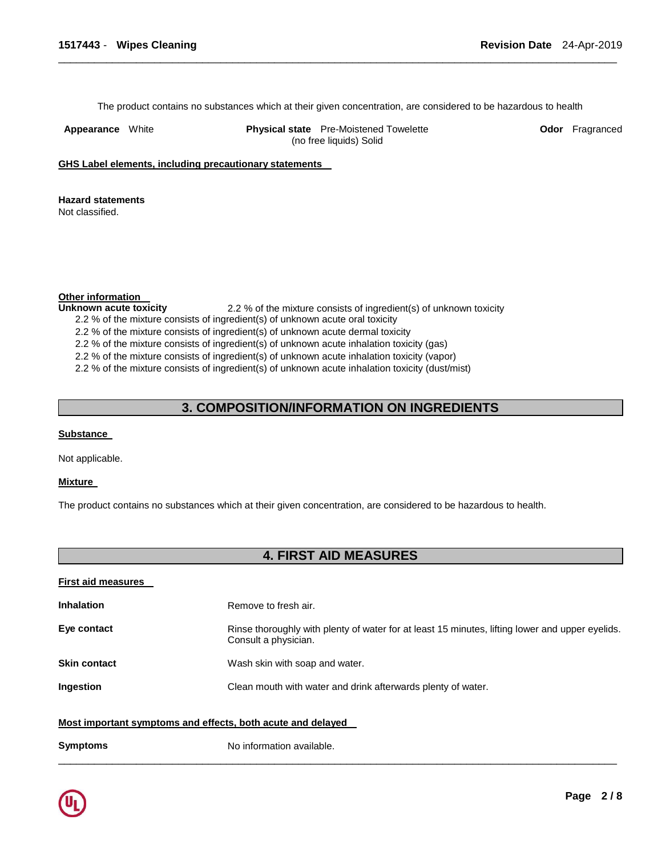The product contains no substances which at their given concentration, are considered to be hazardous to health

\_\_\_\_\_\_\_\_\_\_\_\_\_\_\_\_\_\_\_\_\_\_\_\_\_\_\_\_\_\_\_\_\_\_\_\_\_\_\_\_\_\_\_\_\_\_\_\_\_\_\_\_\_\_\_\_\_\_\_\_\_\_\_\_\_\_\_\_\_\_\_\_\_\_\_\_\_\_\_\_\_\_\_\_\_\_\_\_\_\_\_\_\_

**Appearance** White **Physical state** Pre-Moistened Towelette (no free liquids) Solid

**Odor** Fragranced

**GHS Label elements, including precautionary statements** 

**Hazard statements** 

Not classified.

**Other information** 

**Unknown acute toxicity** 2.2 % of the mixture consists of ingredient(s) of unknown toxicity

2.2 % of the mixture consists of ingredient(s) of unknown acute oral toxicity

2.2 % of the mixture consists of ingredient(s) of unknown acute dermal toxicity

2.2 % of the mixture consists of ingredient(s) of unknown acute inhalation toxicity (gas)

2.2 % of the mixture consists of ingredient(s) of unknown acute inhalation toxicity (vapor)

2.2 % of the mixture consists of ingredient(s) of unknown acute inhalation toxicity (dust/mist)

## **3. COMPOSITION/INFORMATION ON INGREDIENTS**

#### **Substance**

Not applicable.

#### **Mixture**

The product contains no substances which at their given concentration, are considered to be hazardous to health.

# **4. FIRST AID MEASURES**

| <b>First aid measures</b>                                   |                                                                                                                         |  |
|-------------------------------------------------------------|-------------------------------------------------------------------------------------------------------------------------|--|
| <b>Inhalation</b>                                           | Remove to fresh air.                                                                                                    |  |
| Eye contact                                                 | Rinse thoroughly with plenty of water for at least 15 minutes, lifting lower and upper eyelids.<br>Consult a physician. |  |
| <b>Skin contact</b>                                         | Wash skin with soap and water.                                                                                          |  |
| Ingestion                                                   | Clean mouth with water and drink afterwards plenty of water.                                                            |  |
| Most important symptoms and effects, both acute and delayed |                                                                                                                         |  |
| <b>Symptoms</b>                                             | No information available.                                                                                               |  |

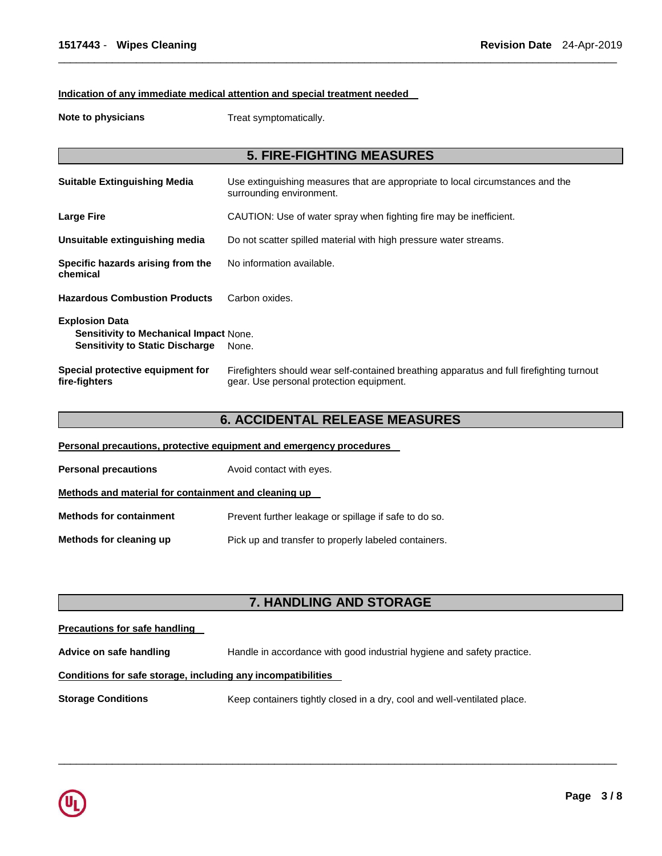#### **Indication of any immediate medical attention and special treatment needed**

**Note to physicians Treat symptomatically.** 

# **5. FIRE-FIGHTING MEASURES Suitable Extinguishing Media** Use extinguishing measures that are appropriate to local circumstances and the surrounding environment. **Large Fire CAUTION: Use of water spray when fighting fire may be inefficient. Unsuitable extinguishing media** Do not scatter spilled material with high pressure water streams. **Specific hazards arising from the chemical**  No information available. **Hazardous Combustion Products** Carbon oxides. **Explosion Data Sensitivity to Mechanical Impact** None. **Sensitivity to Static Discharge None. Special protective equipment for fire-fighters**  Firefighters should wear self-contained breathing apparatus and full firefighting turnout gear. Use personal protection equipment.

\_\_\_\_\_\_\_\_\_\_\_\_\_\_\_\_\_\_\_\_\_\_\_\_\_\_\_\_\_\_\_\_\_\_\_\_\_\_\_\_\_\_\_\_\_\_\_\_\_\_\_\_\_\_\_\_\_\_\_\_\_\_\_\_\_\_\_\_\_\_\_\_\_\_\_\_\_\_\_\_\_\_\_\_\_\_\_\_\_\_\_\_\_

### **6. ACCIDENTAL RELEASE MEASURES**

**Personal precautions, protective equipment and emergency procedures** 

| <b>Personal precautions</b> | Avoid contact with eyes. |
|-----------------------------|--------------------------|
|-----------------------------|--------------------------|

**Methods and material for containment and cleaning up** 

**Methods for containment** Prevent further leakage or spillage if safe to do so.

**Methods for cleaning up example 20 Pick up and transfer to properly labeled containers.** 

# **7. HANDLING AND STORAGE**

\_\_\_\_\_\_\_\_\_\_\_\_\_\_\_\_\_\_\_\_\_\_\_\_\_\_\_\_\_\_\_\_\_\_\_\_\_\_\_\_\_\_\_\_\_\_\_\_\_\_\_\_\_\_\_\_\_\_\_\_\_\_\_\_\_\_\_\_\_\_\_\_\_\_\_\_\_\_\_\_\_\_\_\_\_\_\_\_\_\_\_\_\_

# **Precautions for safe handling Advice on safe handling** Handle in accordance with good industrial hygiene and safety practice. **Conditions for safe storage, including any incompatibilities Storage Conditions Keep containers tightly closed in a dry, cool and well-ventilated place.**

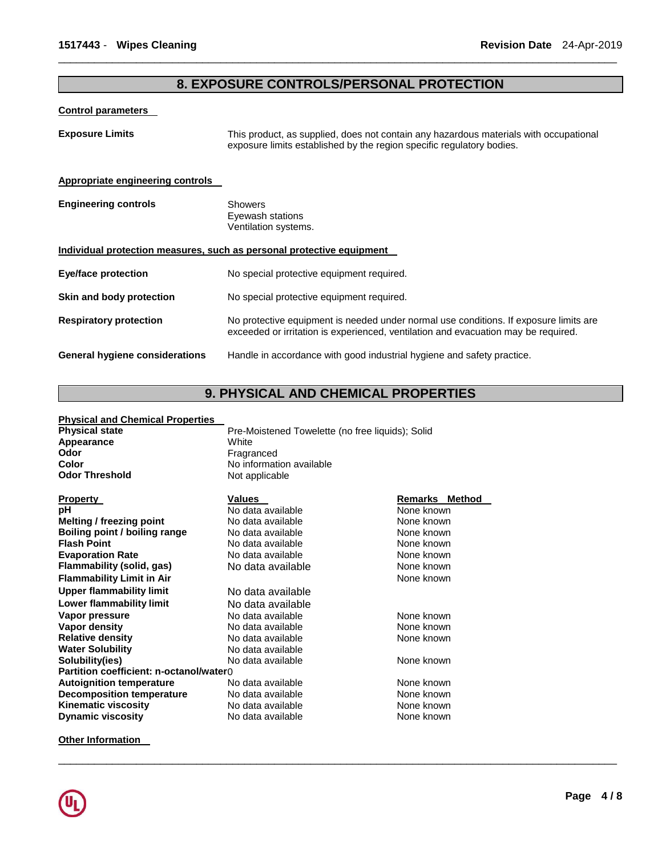### **8. EXPOSURE CONTROLS/PERSONAL PROTECTION**

\_\_\_\_\_\_\_\_\_\_\_\_\_\_\_\_\_\_\_\_\_\_\_\_\_\_\_\_\_\_\_\_\_\_\_\_\_\_\_\_\_\_\_\_\_\_\_\_\_\_\_\_\_\_\_\_\_\_\_\_\_\_\_\_\_\_\_\_\_\_\_\_\_\_\_\_\_\_\_\_\_\_\_\_\_\_\_\_\_\_\_\_\_

#### **Control parameters**

**Exposure Limits** This product, as supplied, does not contain any hazardous materials with occupational exposure limits established by the region specific regulatory bodies.

#### **Appropriate engineering controls**

| <b>Engineering controls</b> | Showers              |
|-----------------------------|----------------------|
|                             | Eyewash stations     |
|                             | Ventilation systems. |

#### **Individual protection measures, such as personal protective equipment**

| <b>Eye/face protection</b>            | No special protective equipment required.                                                                                                                                   |
|---------------------------------------|-----------------------------------------------------------------------------------------------------------------------------------------------------------------------------|
| Skin and body protection              | No special protective equipment required.                                                                                                                                   |
| <b>Respiratory protection</b>         | No protective equipment is needed under normal use conditions. If exposure limits are<br>exceeded or irritation is experienced, ventilation and evacuation may be required. |
| <b>General hygiene considerations</b> | Handle in accordance with good industrial hygiene and safety practice.                                                                                                      |

# **9. PHYSICAL AND CHEMICAL PROPERTIES**

Pre-Moistened Towelette (no free liquids); Solid

\_\_\_\_\_\_\_\_\_\_\_\_\_\_\_\_\_\_\_\_\_\_\_\_\_\_\_\_\_\_\_\_\_\_\_\_\_\_\_\_\_\_\_\_\_\_\_\_\_\_\_\_\_\_\_\_\_\_\_\_\_\_\_\_\_\_\_\_\_\_\_\_\_\_\_\_\_\_\_\_\_\_\_\_\_\_\_\_\_\_\_\_\_

# **Physical and Chemical Properties**

| Appearance                              | White                    |                       |
|-----------------------------------------|--------------------------|-----------------------|
| Odor                                    | Fragranced               |                       |
| Color                                   | No information available |                       |
| <b>Odor Threshold</b>                   | Not applicable           |                       |
|                                         |                          |                       |
| <b>Property</b>                         | <b>Values</b>            | <b>Remarks Method</b> |
| рH                                      | No data available        | None known            |
| <b>Melting / freezing point</b>         | No data available        | None known            |
| Boiling point / boiling range           | No data available        | None known            |
| <b>Flash Point</b>                      | No data available        | None known            |
| <b>Evaporation Rate</b>                 | No data available        | None known            |
| Flammability (solid, gas)               | No data available        | None known            |
| <b>Flammability Limit in Air</b>        |                          | None known            |
| <b>Upper flammability limit</b>         | No data available        |                       |
| Lower flammability limit                | No data available        |                       |
| Vapor pressure                          | No data available        | None known            |
| Vapor density                           | No data available        | None known            |
| <b>Relative density</b>                 | No data available        | None known            |
| <b>Water Solubility</b>                 | No data available        |                       |
| Solubility(ies)                         | No data available        | None known            |
| Partition coefficient: n-octanol/water0 |                          |                       |
| <b>Autoignition temperature</b>         | No data available        | None known            |
| <b>Decomposition temperature</b>        | No data available        | None known            |
| Kinematic viscosity                     | No data available        | None known            |
| <b>Dynamic viscosity</b>                | No data available        | None known            |
|                                         |                          |                       |

**Other Information**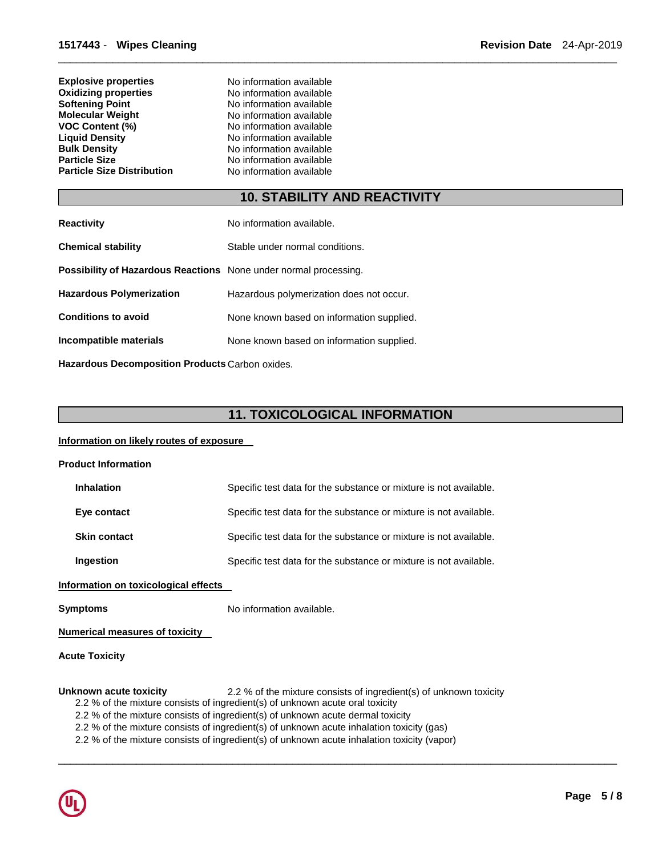| No information available |
|--------------------------|
| No information available |
| No information available |
| No information available |
| No information available |
| No information available |
| No information available |
| No information available |
| No information available |
|                          |

# **10. STABILITY AND REACTIVITY**

\_\_\_\_\_\_\_\_\_\_\_\_\_\_\_\_\_\_\_\_\_\_\_\_\_\_\_\_\_\_\_\_\_\_\_\_\_\_\_\_\_\_\_\_\_\_\_\_\_\_\_\_\_\_\_\_\_\_\_\_\_\_\_\_\_\_\_\_\_\_\_\_\_\_\_\_\_\_\_\_\_\_\_\_\_\_\_\_\_\_\_\_\_

| <b>Reactivity</b>                                                       | No information available.                 |
|-------------------------------------------------------------------------|-------------------------------------------|
| <b>Chemical stability</b>                                               | Stable under normal conditions.           |
| <b>Possibility of Hazardous Reactions</b> None under normal processing. |                                           |
| <b>Hazardous Polymerization</b>                                         | Hazardous polymerization does not occur.  |
| <b>Conditions to avoid</b>                                              | None known based on information supplied. |
| Incompatible materials                                                  | None known based on information supplied. |
|                                                                         |                                           |

**Hazardous Decomposition Products** Carbon oxides.

# **11. TOXICOLOGICAL INFORMATION**

\_\_\_\_\_\_\_\_\_\_\_\_\_\_\_\_\_\_\_\_\_\_\_\_\_\_\_\_\_\_\_\_\_\_\_\_\_\_\_\_\_\_\_\_\_\_\_\_\_\_\_\_\_\_\_\_\_\_\_\_\_\_\_\_\_\_\_\_\_\_\_\_\_\_\_\_\_\_\_\_\_\_\_\_\_\_\_\_\_\_\_\_\_

#### **Information on likely routes of exposure**

| <b>Product Information</b> |  |
|----------------------------|--|
|                            |  |

| <b>Inhalation</b>   | Specific test data for the substance or mixture is not available. |
|---------------------|-------------------------------------------------------------------|
| Eye contact         | Specific test data for the substance or mixture is not available. |
| <b>Skin contact</b> | Specific test data for the substance or mixture is not available. |
| Ingestion           | Specific test data for the substance or mixture is not available. |

**Information on toxicological effects** 

**Symptoms** No information available.

**Numerical measures of toxicity** 

**Acute Toxicity** 

#### Unknown acute toxicity **2.2 %** of the mixture consists of ingredient(s) of unknown toxicity

- 2.2 % of the mixture consists of ingredient(s) of unknown acute oral toxicity
- 2.2 % of the mixture consists of ingredient(s) of unknown acute dermal toxicity
- 2.2 % of the mixture consists of ingredient(s) of unknown acute inhalation toxicity (gas)
- 2.2 % of the mixture consists of ingredient(s) of unknown acute inhalation toxicity (vapor)

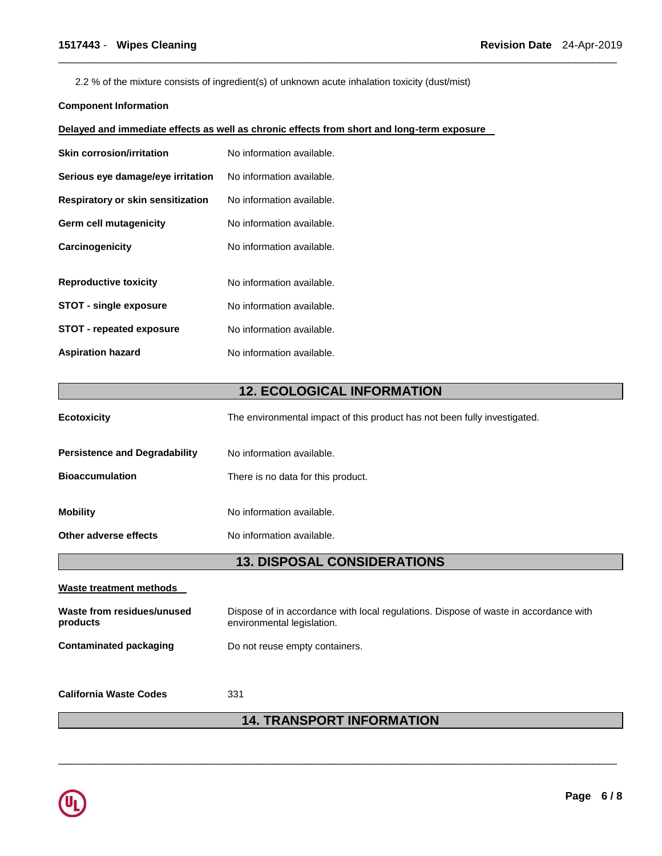2.2 % of the mixture consists of ingredient(s) of unknown acute inhalation toxicity (dust/mist)

#### **Component Information**

#### **Delayed and immediate effects as well as chronic effects from short and long-term exposure**

| <b>Skin corrosion/irritation</b>         | No information available. |
|------------------------------------------|---------------------------|
| Serious eye damage/eye irritation        | No information available. |
| <b>Respiratory or skin sensitization</b> | No information available. |
| Germ cell mutagenicity                   | No information available. |
| Carcinogenicity                          | No information available. |
|                                          |                           |
| <b>Reproductive toxicity</b>             | No information available. |
| <b>STOT - single exposure</b>            | No information available. |
| <b>STOT - repeated exposure</b>          | No information available. |
| <b>Aspiration hazard</b>                 | No information available. |

# **12. ECOLOGICAL INFORMATION**

\_\_\_\_\_\_\_\_\_\_\_\_\_\_\_\_\_\_\_\_\_\_\_\_\_\_\_\_\_\_\_\_\_\_\_\_\_\_\_\_\_\_\_\_\_\_\_\_\_\_\_\_\_\_\_\_\_\_\_\_\_\_\_\_\_\_\_\_\_\_\_\_\_\_\_\_\_\_\_\_\_\_\_\_\_\_\_\_\_\_\_\_\_

| <b>Ecotoxicity</b>                     | The environmental impact of this product has not been fully investigated.                                          |  |
|----------------------------------------|--------------------------------------------------------------------------------------------------------------------|--|
| <b>Persistence and Degradability</b>   | No information available.                                                                                          |  |
| <b>Bioaccumulation</b>                 | There is no data for this product.                                                                                 |  |
| <b>Mobility</b>                        | No information available.                                                                                          |  |
| Other adverse effects                  | No information available.                                                                                          |  |
| <b>13. DISPOSAL CONSIDERATIONS</b>     |                                                                                                                    |  |
| Waste treatment methods                |                                                                                                                    |  |
| Waste from residues/unused<br>products | Dispose of in accordance with local regulations. Dispose of waste in accordance with<br>environmental legislation. |  |
| <b>Contaminated packaging</b>          | Do not reuse empty containers.                                                                                     |  |

**California Waste Codes** 331

# **14. TRANSPORT INFORMATION**

\_\_\_\_\_\_\_\_\_\_\_\_\_\_\_\_\_\_\_\_\_\_\_\_\_\_\_\_\_\_\_\_\_\_\_\_\_\_\_\_\_\_\_\_\_\_\_\_\_\_\_\_\_\_\_\_\_\_\_\_\_\_\_\_\_\_\_\_\_\_\_\_\_\_\_\_\_\_\_\_\_\_\_\_\_\_\_\_\_\_\_\_\_

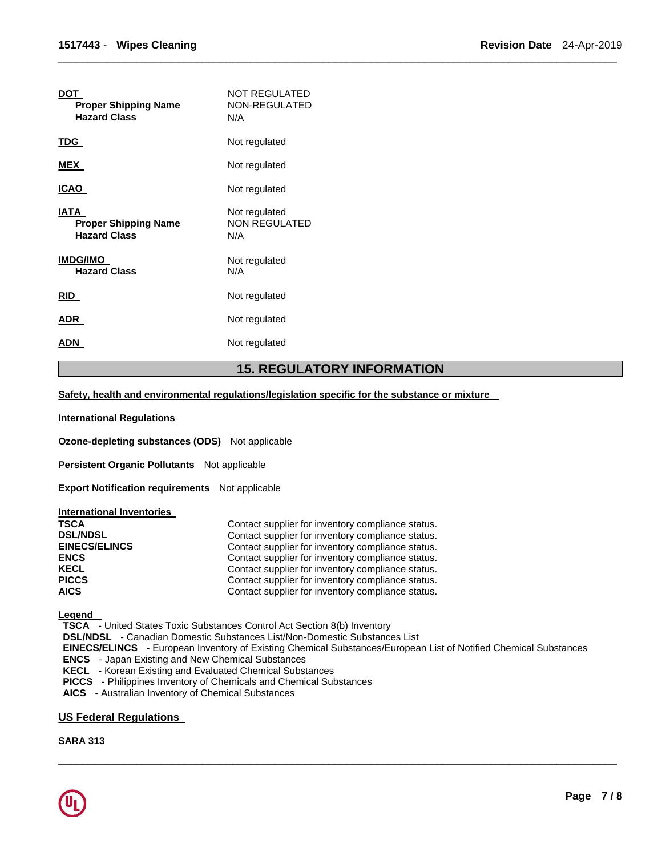| <b>DOT</b><br><b>Proper Shipping Name</b><br><b>Hazard Class</b> | NOT REGULATED<br>NON-REGULATED<br>N/A        |
|------------------------------------------------------------------|----------------------------------------------|
| TDG                                                              | Not regulated                                |
| <b>MEX</b>                                                       | Not regulated                                |
| ICAO                                                             | Not regulated                                |
| IATA<br><b>Proper Shipping Name</b><br><b>Hazard Class</b>       | Not regulated<br><b>NON REGULATED</b><br>N/A |
| <b>IMDG/IMO</b><br><b>Hazard Class</b>                           | Not regulated<br>N/A                         |
| <b>RID</b>                                                       | Not regulated                                |
| <b>ADR</b>                                                       | Not regulated                                |
| ADN                                                              | Not regulated                                |
|                                                                  |                                              |

### **15. REGULATORY INFORMATION**

\_\_\_\_\_\_\_\_\_\_\_\_\_\_\_\_\_\_\_\_\_\_\_\_\_\_\_\_\_\_\_\_\_\_\_\_\_\_\_\_\_\_\_\_\_\_\_\_\_\_\_\_\_\_\_\_\_\_\_\_\_\_\_\_\_\_\_\_\_\_\_\_\_\_\_\_\_\_\_\_\_\_\_\_\_\_\_\_\_\_\_\_\_

**Safety, health and environmental regulations/legislation specific for the substance or mixture** 

#### **International Regulations**

**Ozone-depleting substances (ODS)** Not applicable

**Persistent Organic Pollutants** Not applicable

**Export Notification requirements** Not applicable

#### **International Inventories**

| <b>TSCA</b>          | Contact supplier for inventory compliance status. |
|----------------------|---------------------------------------------------|
| <b>DSL/NDSL</b>      | Contact supplier for inventory compliance status. |
| <b>EINECS/ELINCS</b> | Contact supplier for inventory compliance status. |
| <b>ENCS</b>          | Contact supplier for inventory compliance status. |
| <b>KECL</b>          | Contact supplier for inventory compliance status. |
| <b>PICCS</b>         | Contact supplier for inventory compliance status. |
| <b>AICS</b>          | Contact supplier for inventory compliance status. |

**Legend** 

**TSCA** - United States Toxic Substances Control Act Section 8(b) Inventory

**DSL/NDSL** - Canadian Domestic Substances List/Non-Domestic Substances List

**EINECS/ELINCS** - European Inventory of Existing Chemical Substances/European List of Notified Chemical Substances **ENCS** - Japan Existing and New Chemical Substances

\_\_\_\_\_\_\_\_\_\_\_\_\_\_\_\_\_\_\_\_\_\_\_\_\_\_\_\_\_\_\_\_\_\_\_\_\_\_\_\_\_\_\_\_\_\_\_\_\_\_\_\_\_\_\_\_\_\_\_\_\_\_\_\_\_\_\_\_\_\_\_\_\_\_\_\_\_\_\_\_\_\_\_\_\_\_\_\_\_\_\_\_\_

**KECL** - Korean Existing and Evaluated Chemical Substances

**PICCS** - Philippines Inventory of Chemicals and Chemical Substances

**AICS** - Australian Inventory of Chemical Substances

#### **US Federal Regulations**

#### **SARA 313**